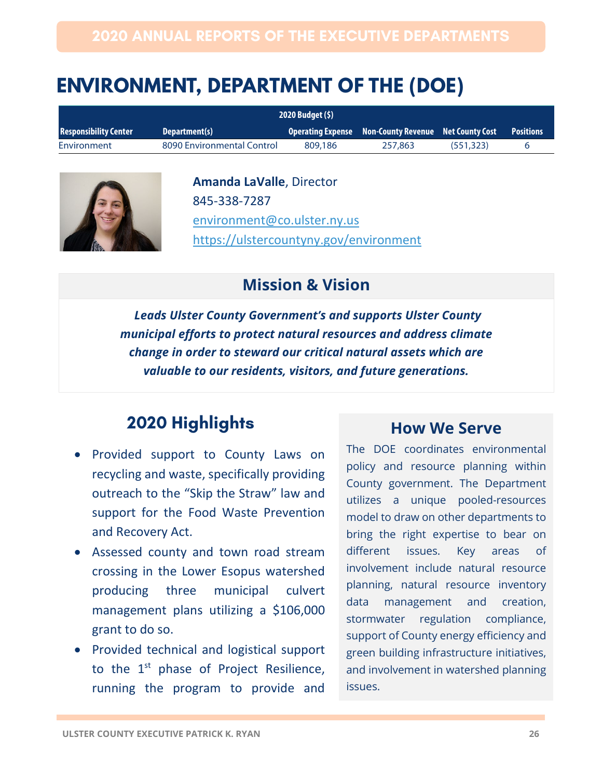# **ENVIRONMENT, DEPARTMENT OF THE (DOE)**

| 2020 Budget (\$)             |                            |         |                                                        |           |                  |
|------------------------------|----------------------------|---------|--------------------------------------------------------|-----------|------------------|
| <b>Responsibility Center</b> | Department(s)              |         | Operating Expense Non-County Revenue Net County Cost 1 |           | <b>Positions</b> |
| Environment                  | 8090 Environmental Control | 809.186 | 257,863                                                | (551.323) |                  |



**Amanda LaValle**, Director 845-338-7287 [environment@co.ulster.ny.us](mailto:environment@co.ulster.ny.us) <https://ulstercountyny.gov/environment>

### **Mission & Vision**

*Leads Ulster County Government's and supports Ulster County municipal efforts to protect natural resources and address climate change in order to steward our critical natural assets which are valuable to our residents, visitors, and future generations.*

## **2020 Highlights**

- Provided support to County Laws on recycling and waste, specifically providing outreach to the "Skip the Straw" law and support for the Food Waste Prevention and Recovery Act.
- Assessed county and town road stream crossing in the Lower Esopus watershed producing three municipal culvert management plans utilizing a \$106,000 grant to do so.
- Provided technical and logistical support to the 1<sup>st</sup> phase of Project Resilience, running the program to provide and

#### **How We Serve**

The DOE coordinates environmental policy and resource planning within County government. The Department utilizes a unique pooled-resources model to draw on other departments to bring the right expertise to bear on different issues. Key areas of involvement include natural resource planning, natural resource inventory data management and creation, stormwater regulation compliance, support of County energy efficiency and green building infrastructure initiatives, and involvement in watershed planning issues.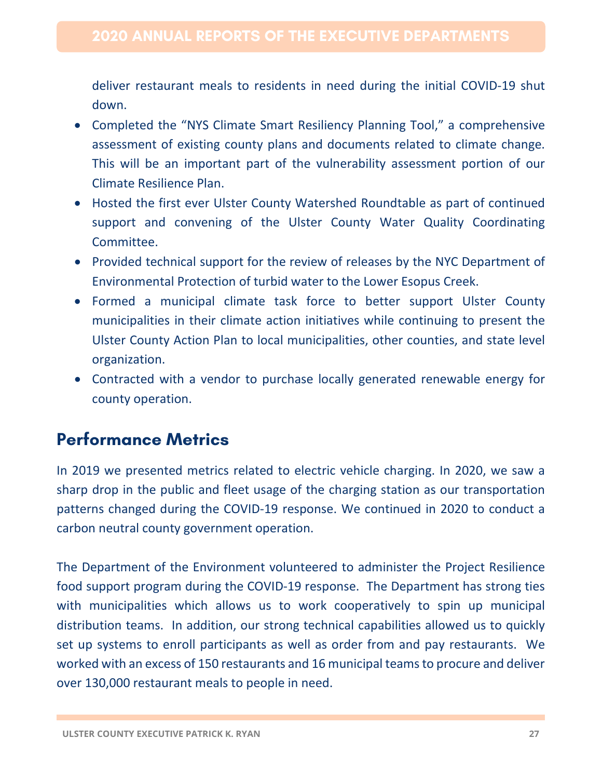deliver restaurant meals to residents in need during the initial COVID-19 shut down.

- Completed the "NYS Climate Smart Resiliency Planning Tool," a comprehensive assessment of existing county plans and documents related to climate change. This will be an important part of the vulnerability assessment portion of our Climate Resilience Plan.
- Hosted the first ever Ulster County Watershed Roundtable as part of continued support and convening of the Ulster County Water Quality Coordinating Committee.
- Provided technical support for the review of releases by the NYC Department of Environmental Protection of turbid water to the Lower Esopus Creek.
- Formed a municipal climate task force to better support Ulster County municipalities in their climate action initiatives while continuing to present the Ulster County Action Plan to local municipalities, other counties, and state level organization.
- Contracted with a vendor to purchase locally generated renewable energy for county operation.

## **Performance Metrics**

In 2019 we presented metrics related to electric vehicle charging. In 2020, we saw a sharp drop in the public and fleet usage of the charging station as our transportation patterns changed during the COVID-19 response. We continued in 2020 to conduct a carbon neutral county government operation.

The Department of the Environment volunteered to administer the Project Resilience food support program during the COVID-19 response. The Department has strong ties with municipalities which allows us to work cooperatively to spin up municipal distribution teams. In addition, our strong technical capabilities allowed us to quickly set up systems to enroll participants as well as order from and pay restaurants. We worked with an excess of 150 restaurants and 16 municipal teams to procure and deliver over 130,000 restaurant meals to people in need.